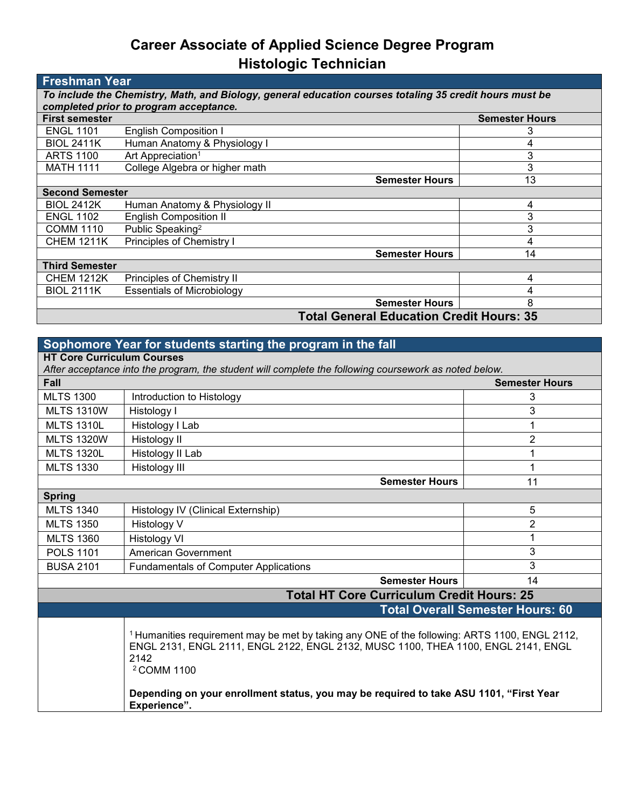## **Career Associate of Applied Science Degree Program Histologic Technician**

| <b>Freshman Year</b>                                                                                    |                                                 |                       |                       |  |  |
|---------------------------------------------------------------------------------------------------------|-------------------------------------------------|-----------------------|-----------------------|--|--|
| To include the Chemistry, Math, and Biology, general education courses totaling 35 credit hours must be |                                                 |                       |                       |  |  |
| completed prior to program acceptance.                                                                  |                                                 |                       |                       |  |  |
| <b>First semester</b>                                                                                   |                                                 |                       | <b>Semester Hours</b> |  |  |
| <b>ENGL 1101</b>                                                                                        | <b>English Composition I</b>                    |                       | 3                     |  |  |
| <b>BIOL 2411K</b>                                                                                       | Human Anatomy & Physiology I                    |                       | 4                     |  |  |
| <b>ARTS 1100</b>                                                                                        | Art Appreciation <sup>1</sup>                   |                       | 3                     |  |  |
| <b>MATH 1111</b>                                                                                        | College Algebra or higher math                  |                       | 3                     |  |  |
|                                                                                                         |                                                 | <b>Semester Hours</b> | 13                    |  |  |
| <b>Second Semester</b>                                                                                  |                                                 |                       |                       |  |  |
| <b>BIOL 2412K</b>                                                                                       | Human Anatomy & Physiology II                   |                       | 4                     |  |  |
| <b>ENGL 1102</b>                                                                                        | <b>English Composition II</b>                   |                       | 3                     |  |  |
| <b>COMM 1110</b>                                                                                        | Public Speaking <sup>2</sup>                    |                       | 3                     |  |  |
| <b>CHEM 1211K</b>                                                                                       | Principles of Chemistry I                       |                       | 4                     |  |  |
|                                                                                                         |                                                 | <b>Semester Hours</b> | 14                    |  |  |
| <b>Third Semester</b>                                                                                   |                                                 |                       |                       |  |  |
| <b>CHEM 1212K</b>                                                                                       | Principles of Chemistry II                      |                       | 4                     |  |  |
| <b>BIOL 2111K</b>                                                                                       | <b>Essentials of Microbiology</b>               |                       |                       |  |  |
|                                                                                                         |                                                 | <b>Semester Hours</b> | 8                     |  |  |
|                                                                                                         | <b>Total General Education Credit Hours: 35</b> |                       |                       |  |  |

| Sophomore Year for students starting the program in the fall                                                                               |                                                                                                                                                                                                                                                                                                                           |                |  |  |
|--------------------------------------------------------------------------------------------------------------------------------------------|---------------------------------------------------------------------------------------------------------------------------------------------------------------------------------------------------------------------------------------------------------------------------------------------------------------------------|----------------|--|--|
| <b>HT Core Curriculum Courses</b><br>After acceptance into the program, the student will complete the following coursework as noted below. |                                                                                                                                                                                                                                                                                                                           |                |  |  |
| <b>Fall</b>                                                                                                                                | <b>Semester Hours</b>                                                                                                                                                                                                                                                                                                     |                |  |  |
|                                                                                                                                            |                                                                                                                                                                                                                                                                                                                           |                |  |  |
| <b>MLTS 1300</b>                                                                                                                           | Introduction to Histology                                                                                                                                                                                                                                                                                                 | 3              |  |  |
| <b>MLTS 1310W</b>                                                                                                                          | Histology I                                                                                                                                                                                                                                                                                                               | 3              |  |  |
| <b>MLTS 1310L</b>                                                                                                                          | Histology I Lab                                                                                                                                                                                                                                                                                                           | 1              |  |  |
| <b>MLTS 1320W</b>                                                                                                                          | Histology II                                                                                                                                                                                                                                                                                                              | $\overline{2}$ |  |  |
| <b>MLTS 1320L</b>                                                                                                                          | Histology II Lab                                                                                                                                                                                                                                                                                                          | 1              |  |  |
| <b>MLTS 1330</b>                                                                                                                           | Histology III                                                                                                                                                                                                                                                                                                             | 1              |  |  |
|                                                                                                                                            | <b>Semester Hours</b>                                                                                                                                                                                                                                                                                                     | 11             |  |  |
| <b>Spring</b>                                                                                                                              |                                                                                                                                                                                                                                                                                                                           |                |  |  |
| <b>MLTS 1340</b>                                                                                                                           | Histology IV (Clinical Externship)                                                                                                                                                                                                                                                                                        | 5              |  |  |
| <b>MLTS 1350</b>                                                                                                                           | Histology V                                                                                                                                                                                                                                                                                                               | $\overline{2}$ |  |  |
| <b>MLTS 1360</b>                                                                                                                           | <b>Histology VI</b>                                                                                                                                                                                                                                                                                                       | 1              |  |  |
| <b>POLS 1101</b>                                                                                                                           | <b>American Government</b>                                                                                                                                                                                                                                                                                                | 3              |  |  |
| <b>BUSA 2101</b>                                                                                                                           | <b>Fundamentals of Computer Applications</b>                                                                                                                                                                                                                                                                              | 3              |  |  |
|                                                                                                                                            | <b>Semester Hours</b>                                                                                                                                                                                                                                                                                                     | 14             |  |  |
| <b>Total HT Core Curriculum Credit Hours: 25</b>                                                                                           |                                                                                                                                                                                                                                                                                                                           |                |  |  |
| <b>Total Overall Semester Hours: 60</b>                                                                                                    |                                                                                                                                                                                                                                                                                                                           |                |  |  |
|                                                                                                                                            | <sup>1</sup> Humanities requirement may be met by taking any ONE of the following: ARTS 1100, ENGL 2112,<br>ENGL 2131, ENGL 2111, ENGL 2122, ENGL 2132, MUSC 1100, THEA 1100, ENGL 2141, ENGL<br>2142<br><sup>2</sup> COMM 1100<br>Depending on your enrollment status, you may be required to take ASU 1101, "First Year |                |  |  |